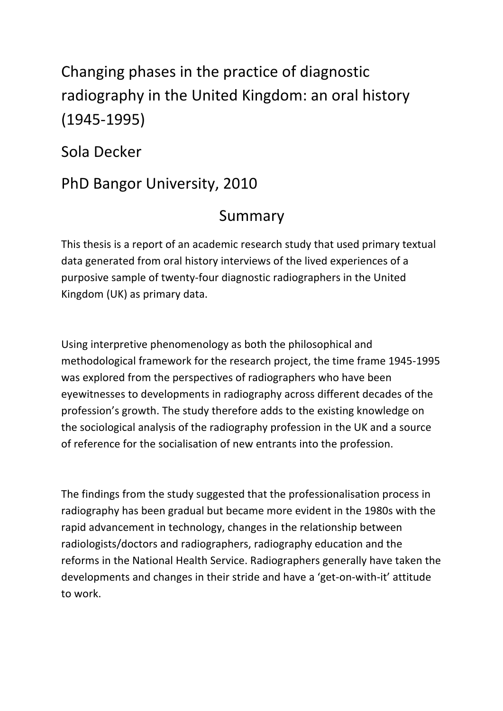## Changing phases in the practice of diagnostic radiography in the United Kingdom: an oral history (1945-1995)

Sola Decker

## PhD Bangor University, 2010

## Summary

This thesis is a report of an academic research study that used primary textual data generated from oral history interviews of the lived experiences of a purposive sample of twenty-four diagnostic radiographers in the United Kingdom (UK) as primary data.

Using interpretive phenomenology as both the philosophical and methodological framework for the research project, the time frame 1945-1995 was explored from the perspectives of radiographers who have been eyewitnesses to developments in radiography across different decades of the profession's growth. The study therefore adds to the existing knowledge on the sociological analysis of the radiography profession in the UK and a source of reference for the socialisation of new entrants into the profession.

The findings from the study suggested that the professionalisation process in radiography has been gradual but became more evident in the 1980s with the rapid advancement in technology, changes in the relationship between radiologists/doctors and radiographers, radiography education and the reforms in the National Health Service. Radiographers generally have taken the developments and changes in their stride and have a 'get-on-with-it' attitude to work.